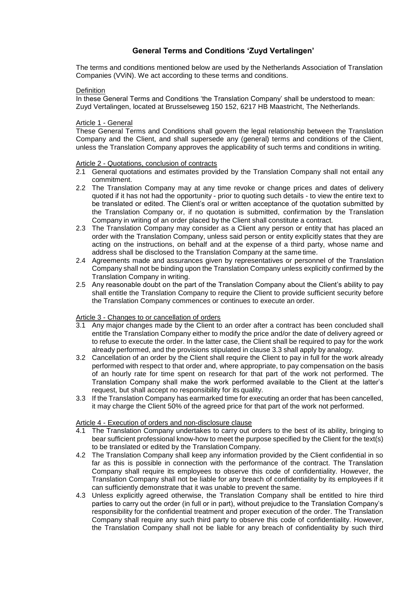# **General Terms and Conditions 'Zuyd Vertalingen'**

The terms and conditions mentioned below are used by the Netherlands Association of Translation Companies (VViN). We act according to these terms and conditions.

### **Definition**

In these General Terms and Conditions 'the Translation Company' shall be understood to mean: Zuyd Vertalingen, located at Brusselseweg 150 152, 6217 HB Maastricht, The Netherlands.

## Article 1 - General

These General Terms and Conditions shall govern the legal relationship between the Translation Company and the Client, and shall supersede any (general) terms and conditions of the Client, unless the Translation Company approves the applicability of such terms and conditions in writing.

### Article 2 - Quotations, conclusion of contracts

- 2.1 General quotations and estimates provided by the Translation Company shall not entail any commitment.
- 2.2 The Translation Company may at any time revoke or change prices and dates of delivery quoted if it has not had the opportunity - prior to quoting such details - to view the entire text to be translated or edited. The Client's oral or written acceptance of the quotation submitted by the Translation Company or, if no quotation is submitted, confirmation by the Translation Company in writing of an order placed by the Client shall constitute a contract.
- 2.3 The Translation Company may consider as a Client any person or entity that has placed an order with the Translation Company, unless said person or entity explicitly states that they are acting on the instructions, on behalf and at the expense of a third party, whose name and address shall be disclosed to the Translation Company at the same time.
- 2.4 Agreements made and assurances given by representatives or personnel of the Translation Company shall not be binding upon the Translation Company unless explicitly confirmed by the Translation Company in writing.
- 2.5 Any reasonable doubt on the part of the Translation Company about the Client's ability to pay shall entitle the Translation Company to require the Client to provide sufficient security before the Translation Company commences or continues to execute an order.

## Article 3 - Changes to or cancellation of orders

- 3.1 Any major changes made by the Client to an order after a contract has been concluded shall entitle the Translation Company either to modify the price and/or the date of delivery agreed or to refuse to execute the order. In the latter case, the Client shall be required to pay for the work already performed, and the provisions stipulated in clause 3.3 shall apply by analogy.
- 3.2 Cancellation of an order by the Client shall require the Client to pay in full for the work already performed with respect to that order and, where appropriate, to pay compensation on the basis of an hourly rate for time spent on research for that part of the work not performed. The Translation Company shall make the work performed available to the Client at the latter's request, but shall accept no responsibility for its quality.
- 3.3 If the Translation Company has earmarked time for executing an order that has been cancelled, it may charge the Client 50% of the agreed price for that part of the work not performed.

## Article 4 - Execution of orders and non-disclosure clause

- 4.1 The Translation Company undertakes to carry out orders to the best of its ability, bringing to bear sufficient professional know-how to meet the purpose specified by the Client for the text(s) to be translated or edited by the Translation Company.
- 4.2 The Translation Company shall keep any information provided by the Client confidential in so far as this is possible in connection with the performance of the contract. The Translation Company shall require its employees to observe this code of confidentiality. However, the Translation Company shall not be liable for any breach of confidentiality by its employees if it can sufficiently demonstrate that it was unable to prevent the same.
- 4.3 Unless explicitly agreed otherwise, the Translation Company shall be entitled to hire third parties to carry out the order (in full or in part), without prejudice to the Translation Company's responsibility for the confidential treatment and proper execution of the order. The Translation Company shall require any such third party to observe this code of confidentiality. However, the Translation Company shall not be liable for any breach of confidentiality by such third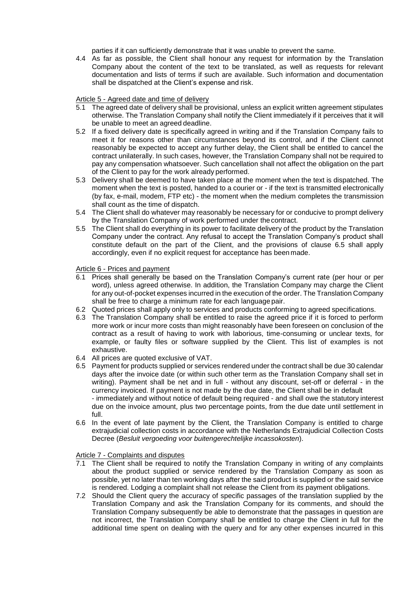parties if it can sufficiently demonstrate that it was unable to prevent the same.

4.4 As far as possible, the Client shall honour any request for information by the Translation Company about the content of the text to be translated, as well as requests for relevant documentation and lists of terms if such are available. Such information and documentation shall be dispatched at the Client's expense and risk.

# Article 5 - Agreed date and time of delivery

- 5.1 The agreed date of delivery shall be provisional, unless an explicit written agreement stipulates otherwise. The Translation Company shall notify the Client immediately if it perceives that it will be unable to meet an agreed deadline.
- 5.2 If a fixed delivery date is specifically agreed in writing and if the Translation Company fails to meet it for reasons other than circumstances beyond its control, and if the Client cannot reasonably be expected to accept any further delay, the Client shall be entitled to cancel the contract unilaterally. In such cases, however, the Translation Company shall not be required to pay any compensation whatsoever. Such cancellation shall not affect the obligation on the part of the Client to pay for the work already performed.
- 5.3 Delivery shall be deemed to have taken place at the moment when the text is dispatched. The moment when the text is posted, handed to a courier or - if the text is transmitted electronically (by fax, e-mail, modem, FTP etc) - the moment when the medium completes the transmission shall count as the time of dispatch.
- 5.4 The Client shall do whatever may reasonably be necessary for or conducive to prompt delivery by the Translation Company of work performed under thecontract.
- 5.5 The Client shall do everything in its power to facilitate delivery of the product by the Translation Company under the contract. Any refusal to accept the Translation Company's product shall constitute default on the part of the Client, and the provisions of clause 6.5 shall apply accordingly, even if no explicit request for acceptance has been made.

# Article 6 - Prices and payment

- 6.1 Prices shall generally be based on the Translation Company's current rate (per hour or per word), unless agreed otherwise. In addition, the Translation Company may charge the Client for any out-of-pocket expenses incurred in the execution of the order. The Translation Company shall be free to charge a minimum rate for each language pair.
- 6.2 Quoted prices shall apply only to services and products conforming to agreed specifications.
- 6.3 The Translation Company shall be entitled to raise the agreed price if it is forced to perform more work or incur more costs than might reasonably have been foreseen on conclusion of the contract as a result of having to work with laborious, time-consuming or unclear texts, for example, or faulty files or software supplied by the Client. This list of examples is not exhaustive.
- 6.4 All prices are quoted exclusive of VAT.
- 6.5 Payment for products supplied or services rendered under the contract shall be due 30 calendar days after the invoice date (or within such other term as the Translation Company shall set in writing). Payment shall be net and in full - without any discount, set-off or deferral - in the currency invoiced. If payment is not made by the due date, the Client shall be in default - immediately and without notice of default being required - and shall owe the statutory interest due on the invoice amount, plus two percentage points, from the due date until settlement in full.
- 6.6 In the event of late payment by the Client, the Translation Company is entitled to charge extrajudicial collection costs in accordance with the Netherlands Extrajudicial Collection Costs Decree (*Besluit vergoeding voor buitengerechtelijke incassokosten*).

## Article 7 - Complaints and disputes

- 7.1 The Client shall be required to notify the Translation Company in writing of any complaints about the product supplied or service rendered by the Translation Company as soon as possible, yet no later than ten working days after the said product is supplied or the said service is rendered. Lodging a complaint shall not release the Client from its payment obligations.
- 7.2 Should the Client query the accuracy of specific passages of the translation supplied by the Translation Company and ask the Translation Company for its comments, and should the Translation Company subsequently be able to demonstrate that the passages in question are not incorrect, the Translation Company shall be entitled to charge the Client in full for the additional time spent on dealing with the query and for any other expenses incurred in this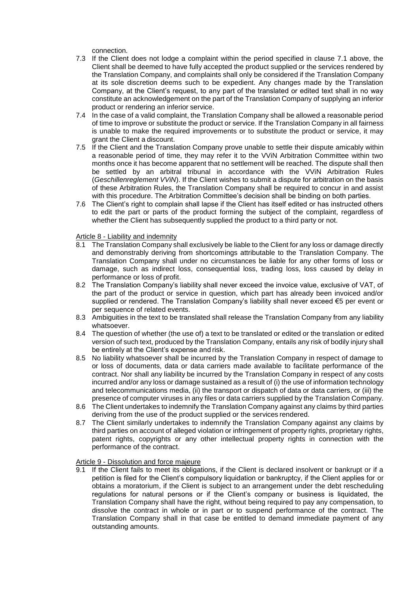connection.

- 7.3 If the Client does not lodge a complaint within the period specified in clause 7.1 above, the Client shall be deemed to have fully accepted the product supplied or the services rendered by the Translation Company, and complaints shall only be considered if the Translation Company at its sole discretion deems such to be expedient. Any changes made by the Translation Company, at the Client's request, to any part of the translated or edited text shall in no way constitute an acknowledgement on the part of the Translation Company of supplying an inferior product or rendering an inferior service.
- 7.4 In the case of a valid complaint, the Translation Company shall be allowed a reasonable period of time to improve or substitute the product or service. If the Translation Company in all fairness is unable to make the required improvements or to substitute the product or service, it may grant the Client a discount.
- 7.5 If the Client and the Translation Company prove unable to settle their dispute amicably within a reasonable period of time, they may refer it to the VViN Arbitration Committee within two months once it has become apparent that no settlement will be reached. The dispute shall then be settled by an arbitral tribunal in accordance with the VViN Arbitration Rules (*Geschillenreglement VViN*). If the Client wishes to submit a dispute for arbitration on the basis of these Arbitration Rules, the Translation Company shall be required to concur in and assist with this procedure. The Arbitration Committee's decision shall be binding on both parties.
- 7.6 The Client's right to complain shall lapse if the Client has itself edited or has instructed others to edit the part or parts of the product forming the subject of the complaint, regardless of whether the Client has subsequently supplied the product to a third party or not.

Article 8 - Liability and indemnity

- 8.1 The Translation Company shall exclusively be liable to the Client for any loss or damage directly and demonstrably deriving from shortcomings attributable to the Translation Company. The Translation Company shall under no circumstances be liable for any other forms of loss or damage, such as indirect loss, consequential loss, trading loss, loss caused by delay in performance or loss of profit.
- 8.2 The Translation Company's liability shall never exceed the invoice value, exclusive of VAT, of the part of the product or service in question, which part has already been invoiced and/or supplied or rendered. The Translation Company's liability shall never exceed €5 per event or per sequence of related events.
- 8.3 Ambiguities in the text to be translated shall release the Translation Company from any liability whatsoever.
- 8.4 The question of whether (the use of) a text to be translated or edited or the translation or edited version of such text, produced by the Translation Company, entails any risk of bodily injury shall be entirely at the Client's expense and risk.
- 8.5 No liability whatsoever shall be incurred by the Translation Company in respect of damage to or loss of documents, data or data carriers made available to facilitate performance of the contract. Nor shall any liability be incurred by the Translation Company in respect of any costs incurred and/or any loss or damage sustained as a result of (i) the use of information technology and telecommunications media, (ii) the transport or dispatch of data or data carriers, or (iii) the presence of computer viruses in any files or data carriers supplied by the Translation Company.
- 8.6 The Client undertakes to indemnify the Translation Company against any claims by third parties deriving from the use of the product supplied or the services rendered.
- 8.7 The Client similarly undertakes to indemnify the Translation Company against any claims by third parties on account of alleged violation or infringement of property rights, proprietary rights, patent rights, copyrights or any other intellectual property rights in connection with the performance of the contract.

# Article 9 - Dissolution and force majeure

9.1 If the Client fails to meet its obligations, if the Client is declared insolvent or bankrupt or if a petition is filed for the Client's compulsory liquidation or bankruptcy, if the Client applies for or obtains a moratorium, if the Client is subject to an arrangement under the debt rescheduling regulations for natural persons or if the Client's company or business is liquidated, the Translation Company shall have the right, without being required to pay any compensation, to dissolve the contract in whole or in part or to suspend performance of the contract. The Translation Company shall in that case be entitled to demand immediate payment of any outstanding amounts.